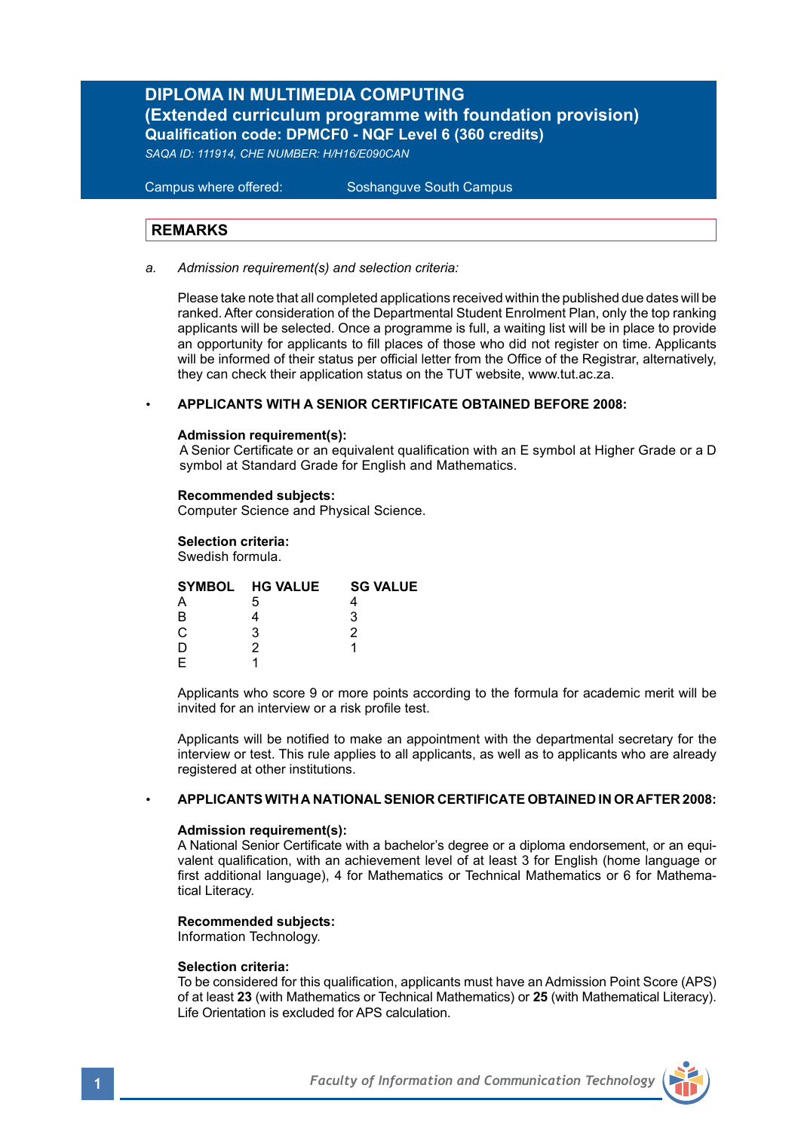# **DIPLOMA IN MULTIMEDIA COMPUTING (Extended curriculum programme with foundation provision) Qualification code: DPMCF0 - NQF Level 6 (360 credits)**

*SAQA ID: 111914, CHE NUMBER: H/H16/E090CAN*

**Campus where offered:** 

Soshanguve South Campus

# **REMARKS**

*a. Admission requirement(s) and selection criteria:*

Please take note that all completed applications received within the published due dates will be ranked. After consideration of the Departmental Student Enrolment Plan, only the top ranking applicants will be selected. Once a programme is full, a waiting list will be in place to provide an opportunity for applicants to fill places of those who did not register on time. Applicants will be informed of their status per official letter from the Office of the Registrar, alternatively, they can check their application status on the TUT website, www.tut.ac.za.

### *•* **APPLICANTS WITH A SENIOR CERTIFICATE OBTAINED BEFORE 2008:**

### **Admission requirement(s):**

A Senior Certificate or an equivalent qualification with an E symbol at Higher Grade or a D symbol at Standard Grade for English and Mathematics.

### **Recommended subjects:**

Computer Science and Physical Science.

### **Selection criteria:**

Swedish formula.

|    | SYMBOL HG VALUE | <b>SG VALUE</b> |
|----|-----------------|-----------------|
|    | .h              |                 |
| R  |                 |                 |
| C. | 2               |                 |
|    |                 |                 |
|    |                 |                 |
|    |                 |                 |

Applicants who score 9 or more points according to the formula for academic merit will be invited for an interview or a risk profile test.

Applicants will be notified to make an appointment with the departmental secretary for the interview or test. This rule applies to all applicants, as well as to applicants who are already registered at other institutions.

### *•* **APPLICANTS WITH A NATIONAL SENIOR CERTIFICATE OBTAINED IN OR AFTER 2008:**

### **Admission requirement(s):**

A National Senior Certificate with a bachelor's degree or a diploma endorsement, or an equivalent qualification, with an achievement level of at least 3 for English (home language or first additional language), 4 for Mathematics or Technical Mathematics or 6 for Mathematical Literacy.

### **Recommended subjects:**

Information Technology.

### **Selection criteria:**

To be considered for this qualification, applicants must have an Admission Point Score (APS) of at least **23** (with Mathematics or Technical Mathematics) or **25** (with Mathematical Literacy). Life Orientation is excluded for APS calculation.

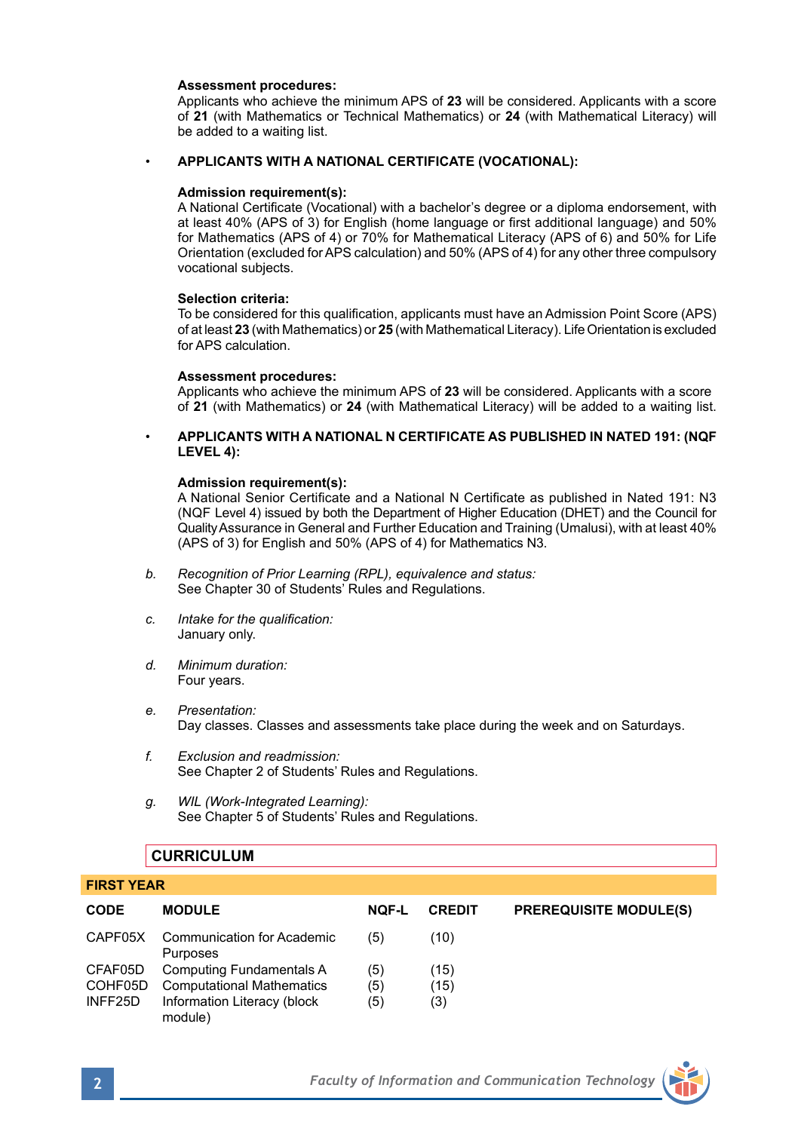### **Assessment procedures:**

 Applicants who achieve the minimum APS of **23** will be considered. Applicants with a score of **21** (with Mathematics or Technical Mathematics) or **24** (with Mathematical Literacy) will be added to a waiting list.

### • **APPLICANTS WITH A NATIONAL CERTIFICATE (VOCATIONAL):**

### **Admission requirement(s):**

A National Certificate (Vocational) with a bachelor's degree or a diploma endorsement, with at least 40% (APS of 3) for English (home language or first additional language) and 50% for Mathematics (APS of 4) or 70% for Mathematical Literacy (APS of 6) and 50% for Life Orientation (excluded for APS calculation) and 50% (APS of 4) for any other three compulsory vocational subjects.

### **Selection criteria:**

To be considered for this qualification, applicants must have an Admission Point Score (APS) of at least **23** (with Mathematics) or **25** (with Mathematical Literacy). Life Orientation is excluded for APS calculation.

### **Assessment procedures:**

Applicants who achieve the minimum APS of **23** will be considered. Applicants with a score of **21** (with Mathematics) or **24** (with Mathematical Literacy) will be added to a waiting list.

• **APPLICANTS WITH A NATIONAL N CERTIFICATE AS PUBLISHED IN NATED 191: (NQF LEVEL 4):**

### **Admission requirement(s):**

A National Senior Certificate and a National N Certificate as published in Nated 191: N3 (NQF Level 4) issued by both the Department of Higher Education (DHET) and the Council for Quality Assurance in General and Further Education and Training (Umalusi), with at least 40% (APS of 3) for English and 50% (APS of 4) for Mathematics N3.

- *b. Recognition of Prior Learning (RPL), equivalence and status:* See Chapter 30 of Students' Rules and Regulations.
- *c. Intake for the qualification:*  January only.
- *d. Minimum duration:* Four years.
- *e. Presentation:*  Day classes. Classes and assessments take place during the week and on Saturdays.
- *f. Exclusion and readmission:* See Chapter 2 of Students' Rules and Regulations.
- *g. WIL (Work-Integrated Learning):* See Chapter 5 of Students' Rules and Regulations.

# **CURRICULUM**

| <b>TING LEAR</b> |                                               |              |               |                               |
|------------------|-----------------------------------------------|--------------|---------------|-------------------------------|
| <b>CODE</b>      | <b>MODULE</b>                                 | <b>NOF-L</b> | <b>CREDIT</b> | <b>PREREQUISITE MODULE(S)</b> |
| CAPF05X          | <b>Communication for Academic</b><br>Purposes | (5)          | (10)          |                               |
| CFAF05D          | Computing Fundamentals A                      | (5)          | (15)          |                               |
| COHF05D          | <b>Computational Mathematics</b>              | (5)          | (15)          |                               |
| INFF25D          | Information Literacy (block<br>module)        | (5)          | (3)           |                               |



**FIRST YEAR**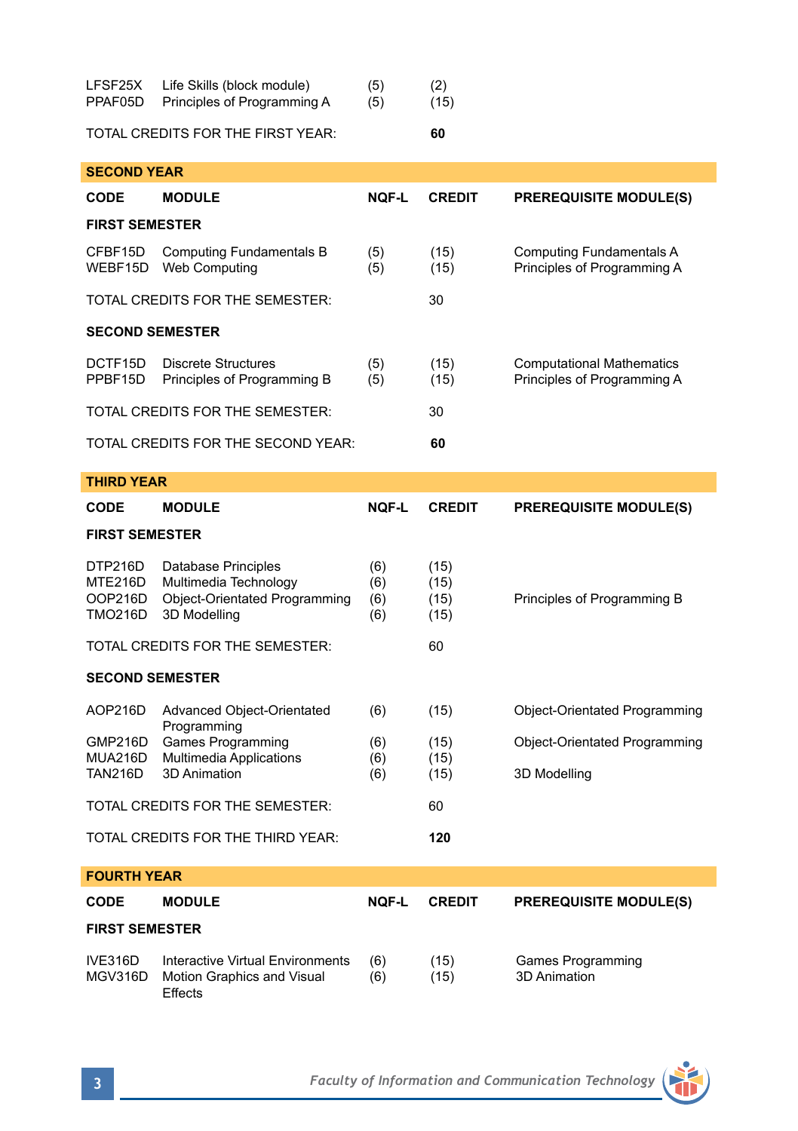| LFSF25X<br>PPAF05D                          | Life Skills (block module)<br>Principles of Programming A                          | (5)<br>(5)        | (2)<br>(15)          |                                                                 |  |
|---------------------------------------------|------------------------------------------------------------------------------------|-------------------|----------------------|-----------------------------------------------------------------|--|
| TOTAL CREDITS FOR THE FIRST YEAR:<br>60     |                                                                                    |                   |                      |                                                                 |  |
| <b>SECOND YEAR</b>                          |                                                                                    |                   |                      |                                                                 |  |
| <b>CODE</b>                                 | <b>MODULE</b>                                                                      | <b>NOF-L</b>      | <b>CREDIT</b>        | <b>PREREQUISITE MODULE(S)</b>                                   |  |
| <b>FIRST SEMESTER</b>                       |                                                                                    |                   |                      |                                                                 |  |
| CFBF15D<br>WEBF15D                          | <b>Computing Fundamentals B</b><br>Web Computing                                   | (5)<br>(5)        | (15)<br>(15)         | <b>Computing Fundamentals A</b><br>Principles of Programming A  |  |
|                                             | TOTAL CREDITS FOR THE SEMESTER:                                                    |                   | 30                   |                                                                 |  |
| <b>SECOND SEMESTER</b>                      |                                                                                    |                   |                      |                                                                 |  |
| DCTF15D<br>PPBF15D                          | <b>Discrete Structures</b><br>Principles of Programming B                          | (5)<br>(5)        | (15)<br>(15)         | <b>Computational Mathematics</b><br>Principles of Programming A |  |
| TOTAL CREDITS FOR THE SEMESTER:             |                                                                                    |                   | 30                   |                                                                 |  |
| TOTAL CREDITS FOR THE SECOND YEAR:          |                                                                                    |                   | 60                   |                                                                 |  |
| <b>THIRD YEAR</b>                           |                                                                                    |                   |                      |                                                                 |  |
| <b>CODE</b>                                 | <b>MODULE</b>                                                                      | <b>NOF-L</b>      | <b>CREDIT</b>        | <b>PREREQUISITE MODULE(S)</b>                                   |  |
| <b>FIRST SEMESTER</b>                       |                                                                                    |                   |                      |                                                                 |  |
| DTP216D<br>MTE216D<br>OOP216D               | Database Principles<br>Multimedia Technology                                       | (6)<br>(6)        | (15)<br>(15)         |                                                                 |  |
| <b>TMO216D</b>                              | Object-Orientated Programming<br>3D Modelling                                      | (6)<br>(6)        | (15)<br>(15)         | Principles of Programming B                                     |  |
|                                             | TOTAL CREDITS FOR THE SEMESTER:                                                    |                   | 60                   |                                                                 |  |
| <b>SECOND SEMESTER</b>                      |                                                                                    |                   |                      |                                                                 |  |
| AOP216D                                     | Advanced Object-Orientated                                                         | (6)               | (15)                 | Object-Orientated Programming                                   |  |
| GMP216D<br><b>MUA216D</b><br><b>TAN216D</b> | Programming<br><b>Games Programming</b><br>Multimedia Applications<br>3D Animation | (6)<br>(6)<br>(6) | (15)<br>(15)<br>(15) | Object-Orientated Programming<br>3D Modelling                   |  |
|                                             | TOTAL CREDITS FOR THE SEMESTER:                                                    |                   | 60                   |                                                                 |  |
|                                             | TOTAL CREDITS FOR THE THIRD YEAR:                                                  |                   | 120                  |                                                                 |  |
| <b>FOURTH YEAR</b>                          |                                                                                    |                   |                      |                                                                 |  |
| CODE                                        | <b>MODULE</b>                                                                      | <b>NOF-L</b>      | <b>CREDIT</b>        | <b>PREREQUISITE MODULE(S)</b>                                   |  |
| <b>FIRST SEMESTER</b>                       |                                                                                    |                   |                      |                                                                 |  |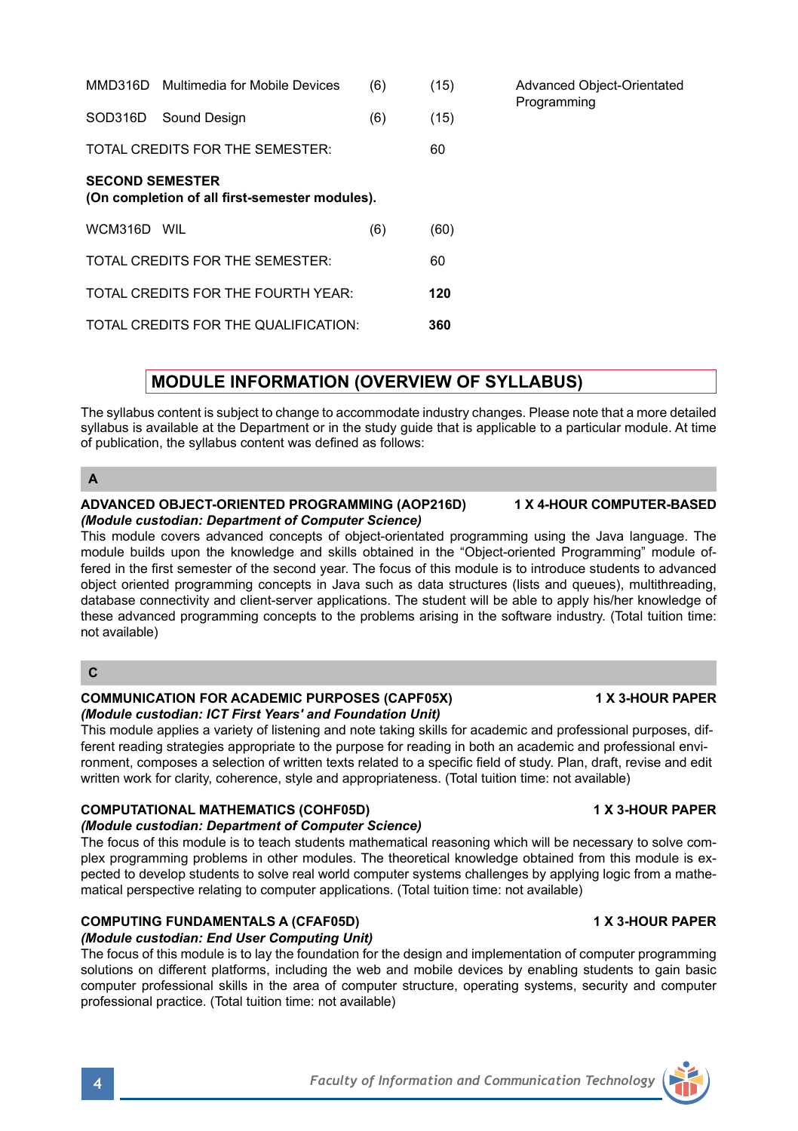| <b>SECOND SEMESTER</b><br>(On completion of all first-semester modules).                                                                                                                                                                                                                        |     |      |  |  |  |
|-------------------------------------------------------------------------------------------------------------------------------------------------------------------------------------------------------------------------------------------------------------------------------------------------|-----|------|--|--|--|
| WCM316D WIL                                                                                                                                                                                                                                                                                     | (6) | (60) |  |  |  |
| TOTAL CREDITS FOR THE SEMESTER:                                                                                                                                                                                                                                                                 |     | 60   |  |  |  |
| TOTAL CREDITS FOR THE FOURTH YEAR.                                                                                                                                                                                                                                                              |     | 120  |  |  |  |
| TOTAL CREDITS FOR THE QUALIFICATION:                                                                                                                                                                                                                                                            |     | 360  |  |  |  |
|                                                                                                                                                                                                                                                                                                 |     |      |  |  |  |
| <b>MODULE INFORMATION (OVERVIEW OF SYLLABUS)</b>                                                                                                                                                                                                                                                |     |      |  |  |  |
| The syllabus content is subject to change to accommodate industry changes. Please note that a more detailed<br>syllabus is available at the Department or in the study quide that is applicable to a particular module. At time<br>of publication, the syllabus content was defined as follows: |     |      |  |  |  |

SOD316D Sound Design (6) (15) TOTAL CREDITS FOR THE SEMESTER: 60

## **A**

### **ADVANCED OBJECT-ORIENTED PROGRAMMING (AOP216D) 1 X 4-HOUR COMPUTER-BASED** *(Module custodian: Department of Computer Science)*

This module covers advanced concepts of object-orientated programming using the Java language. The module builds upon the knowledge and skills obtained in the "Object-oriented Programming" module offered in the first semester of the second year. The focus of this module is to introduce students to advanced object oriented programming concepts in Java such as data structures (lists and queues), multithreading, database connectivity and client-server applications. The student will be able to apply his/her knowledge of these advanced programming concepts to the problems arising in the software industry. (Total tuition time: not available)

MMD316D Multimedia for Mobile Devices (6) (15) Advanced Object-Orientated

# **C**

## **COMMUNICATION FOR ACADEMIC PURPOSES (CAPF05X) 4 X 3-HOUR PAPER** *(Module custodian: ICT First Years' and Foundation Unit)*

This module applies a variety of listening and note taking skills for academic and professional purposes, different reading strategies appropriate to the purpose for reading in both an academic and professional environment, composes a selection of written texts related to a specific field of study. Plan, draft, revise and edit written work for clarity, coherence, style and appropriateness. (Total tuition time: not available)

# **COMPUTATIONAL MATHEMATICS (COHF05D) 1 X 3-HOUR PAPER**

# *(Module custodian: Department of Computer Science)*

The focus of this module is to teach students mathematical reasoning which will be necessary to solve complex programming problems in other modules. The theoretical knowledge obtained from this module is expected to develop students to solve real world computer systems challenges by applying logic from a mathematical perspective relating to computer applications. (Total tuition time: not available)

# **COMPUTING FUNDAMENTALS A (CFAF05D) 1 X 3-HOUR PAPER**

*(Module custodian: End User Computing Unit)*

The focus of this module is to lay the foundation for the design and implementation of computer programming solutions on different platforms, including the web and mobile devices by enabling students to gain basic computer professional skills in the area of computer structure, operating systems, security and computer professional practice. (Total tuition time: not available)

Programming

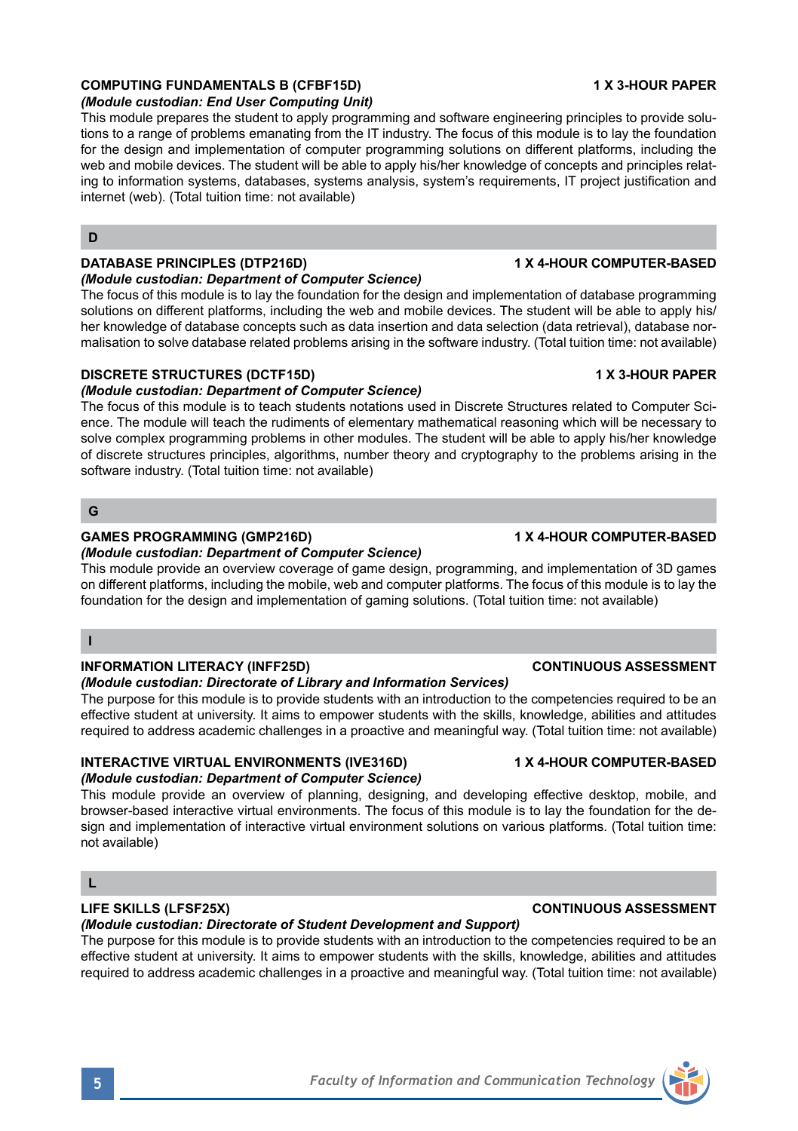# **COMPUTING FUNDAMENTALS B (CFBF15D) 1 X 3-HOUR PAPER**

# *(Module custodian: End User Computing Unit)*

This module prepares the student to apply programming and software engineering principles to provide solutions to a range of problems emanating from the IT industry. The focus of this module is to lay the foundation for the design and implementation of computer programming solutions on different platforms, including the web and mobile devices. The student will be able to apply his/her knowledge of concepts and principles relating to information systems, databases, systems analysis, system's requirements, IT project justification and internet (web). (Total tuition time: not available)

### **D**

# **DATABASE PRINCIPLES (DTP216D) 1 X 4-HOUR COMPUTER-BASED**

### *(Module custodian: Department of Computer Science)*

The focus of this module is to lay the foundation for the design and implementation of database programming solutions on different platforms, including the web and mobile devices. The student will be able to apply his/ her knowledge of database concepts such as data insertion and data selection (data retrieval), database normalisation to solve database related problems arising in the software industry. (Total tuition time: not available)

### **DISCRETE STRUCTURES (DCTF15D) 1 X 3-HOUR PAPER**

## *(Module custodian: Department of Computer Science)*

The focus of this module is to teach students notations used in Discrete Structures related to Computer Science. The module will teach the rudiments of elementary mathematical reasoning which will be necessary to solve complex programming problems in other modules. The student will be able to apply his/her knowledge of discrete structures principles, algorithms, number theory and cryptography to the problems arising in the software industry. (Total tuition time: not available)

## **G**

## GAMES PROGRAMMING (GMP216D) **1 X 4-HOUR COMPUTER-BASED**

## *(Module custodian: Department of Computer Science)*

This module provide an overview coverage of game design, programming, and implementation of 3D games on different platforms, including the mobile, web and computer platforms. The focus of this module is to lay the foundation for the design and implementation of gaming solutions. (Total tuition time: not available)

## **I**

## **INFORMATION LITERACY (INFF25D) CONTINUOUS ASSESSMENT**

# *(Module custodian: Directorate of Library and Information Services)*

The purpose for this module is to provide students with an introduction to the competencies required to be an effective student at university. It aims to empower students with the skills, knowledge, abilities and attitudes required to address academic challenges in a proactive and meaningful way. (Total tuition time: not available)

# **INTERACTIVE VIRTUAL ENVIRONMENTS (IVE316D) 4 X 4-HOUR COMPUTER-BASED**

# *(Module custodian: Department of Computer Science)*

This module provide an overview of planning, designing, and developing effective desktop, mobile, and browser-based interactive virtual environments. The focus of this module is to lay the foundation for the design and implementation of interactive virtual environment solutions on various platforms. (Total tuition time: not available)

# **L**

# *(Module custodian: Directorate of Student Development and Support)*

The purpose for this module is to provide students with an introduction to the competencies required to be an effective student at university. It aims to empower students with the skills, knowledge, abilities and attitudes required to address academic challenges in a proactive and meaningful way. (Total tuition time: not available)

# **LIFE SKILLS (LFSF25X) CONTINUOUS ASSESSMENT**

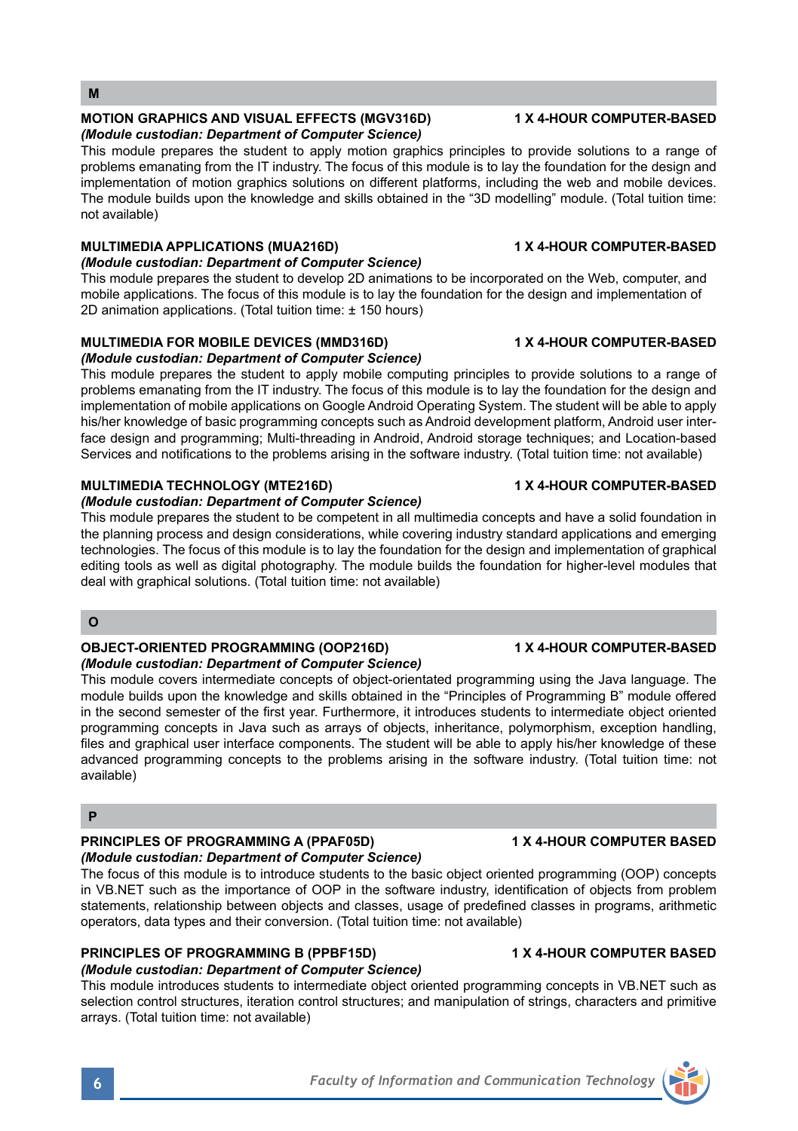### **MOTION GRAPHICS AND VISUAL EFFECTS (MGV316D) 1 X 4-HOUR COMPUTER-BASED** *(Module custodian: Department of Computer Science)*

This module prepares the student to apply motion graphics principles to provide solutions to a range of problems emanating from the IT industry. The focus of this module is to lay the foundation for the design and implementation of motion graphics solutions on different platforms, including the web and mobile devices. The module builds upon the knowledge and skills obtained in the "3D modelling" module. (Total tuition time: not available)

# **MULTIMEDIA APPLICATIONS (MUA216D) 1 X 4-HOUR COMPUTER-BASED**

# *(Module custodian: Department of Computer Science)*

This module prepares the student to develop 2D animations to be incorporated on the Web, computer, and mobile applications. The focus of this module is to lay the foundation for the design and implementation of 2D animation applications. (Total tuition time: ± 150 hours)

# **MULTIMEDIA FOR MOBILE DEVICES (MMD316D) 1 X 4-HOUR COMPUTER-BASED**

# *(Module custodian: Department of Computer Science)*

This module prepares the student to apply mobile computing principles to provide solutions to a range of problems emanating from the IT industry. The focus of this module is to lay the foundation for the design and implementation of mobile applications on Google Android Operating System. The student will be able to apply his/her knowledge of basic programming concepts such as Android development platform, Android user interface design and programming; Multi-threading in Android, Android storage techniques; and Location-based Services and notifications to the problems arising in the software industry. (Total tuition time: not available)

# **MULTIMEDIA TECHNOLOGY (MTE216D) 1 X 4-HOUR COMPUTER-BASED**

# *(Module custodian: Department of Computer Science)*

This module prepares the student to be competent in all multimedia concepts and have a solid foundation in the planning process and design considerations, while covering industry standard applications and emerging technologies. The focus of this module is to lay the foundation for the design and implementation of graphical editing tools as well as digital photography. The module builds the foundation for higher-level modules that deal with graphical solutions. (Total tuition time: not available)

# **O**

# **OBJECT-ORIENTED PROGRAMMING (OOP216D) 1 X 4-HOUR COMPUTER-BASED** *(Module custodian: Department of Computer Science)*

This module covers intermediate concepts of object-orientated programming using the Java language. The module builds upon the knowledge and skills obtained in the "Principles of Programming B" module offered in the second semester of the first year. Furthermore, it introduces students to intermediate object oriented programming concepts in Java such as arrays of objects, inheritance, polymorphism, exception handling, files and graphical user interface components. The student will be able to apply his/her knowledge of these advanced programming concepts to the problems arising in the software industry. (Total tuition time: not available)

# **P**

## **PRINCIPLES OF PROGRAMMING A (PPAF05D) 4 X 4-HOUR COMPUTER BASED** *(Module custodian: Department of Computer Science)*

The focus of this module is to introduce students to the basic object oriented programming (OOP) concepts in VB.NET such as the importance of OOP in the software industry, identification of objects from problem statements, relationship between objects and classes, usage of predefined classes in programs, arithmetic operators, data types and their conversion. (Total tuition time: not available)

# **PRINCIPLES OF PROGRAMMING B (PPBF15D) 4 X 4-HOUR COMPUTER BASED**

# *(Module custodian: Department of Computer Science)*

This module introduces students to intermediate object oriented programming concepts in VB.NET such as selection control structures, iteration control structures; and manipulation of strings, characters and primitive arrays. (Total tuition time: not available)